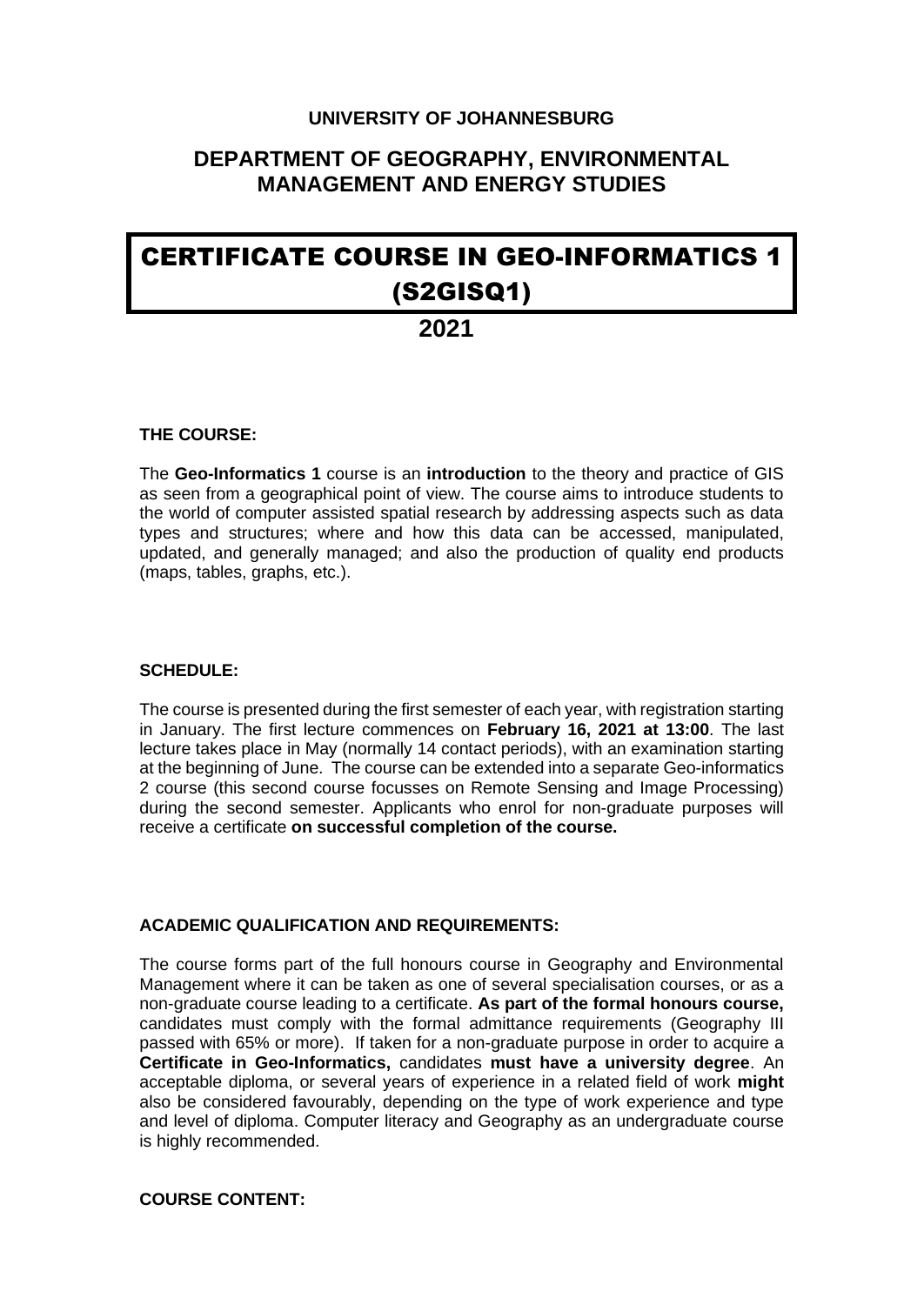#### **UNIVERSITY OF JOHANNESBURG**

### **DEPARTMENT OF GEOGRAPHY, ENVIRONMENTAL MANAGEMENT AND ENERGY STUDIES**

# CERTIFICATE COURSE IN GEO-INFORMATICS 1 (S2GISQ1)

## **2021**

#### **THE COURSE:**

The **Geo-Informatics 1** course is an **introduction** to the theory and practice of GIS as seen from a geographical point of view. The course aims to introduce students to the world of computer assisted spatial research by addressing aspects such as data types and structures; where and how this data can be accessed, manipulated, updated, and generally managed; and also the production of quality end products (maps, tables, graphs, etc.).

#### **SCHEDULE:**

The course is presented during the first semester of each year, with registration starting in January. The first lecture commences on **February 16, 2021 at 13:00**. The last lecture takes place in May (normally 14 contact periods), with an examination starting at the beginning of June. The course can be extended into a separate Geo-informatics 2 course (this second course focusses on Remote Sensing and Image Processing) during the second semester. Applicants who enrol for non-graduate purposes will receive a certificate **on successful completion of the course.**

#### **ACADEMIC QUALIFICATION AND REQUIREMENTS:**

The course forms part of the full honours course in Geography and Environmental Management where it can be taken as one of several specialisation courses, or as a non-graduate course leading to a certificate. **As part of the formal honours course,** candidates must comply with the formal admittance requirements (Geography III passed with 65% or more). If taken for a non-graduate purpose in order to acquire a **Certificate in Geo-Informatics,** candidates **must have a university degree**. An acceptable diploma, or several years of experience in a related field of work **might** also be considered favourably, depending on the type of work experience and type and level of diploma. Computer literacy and Geography as an undergraduate course is highly recommended.

#### **COURSE CONTENT:**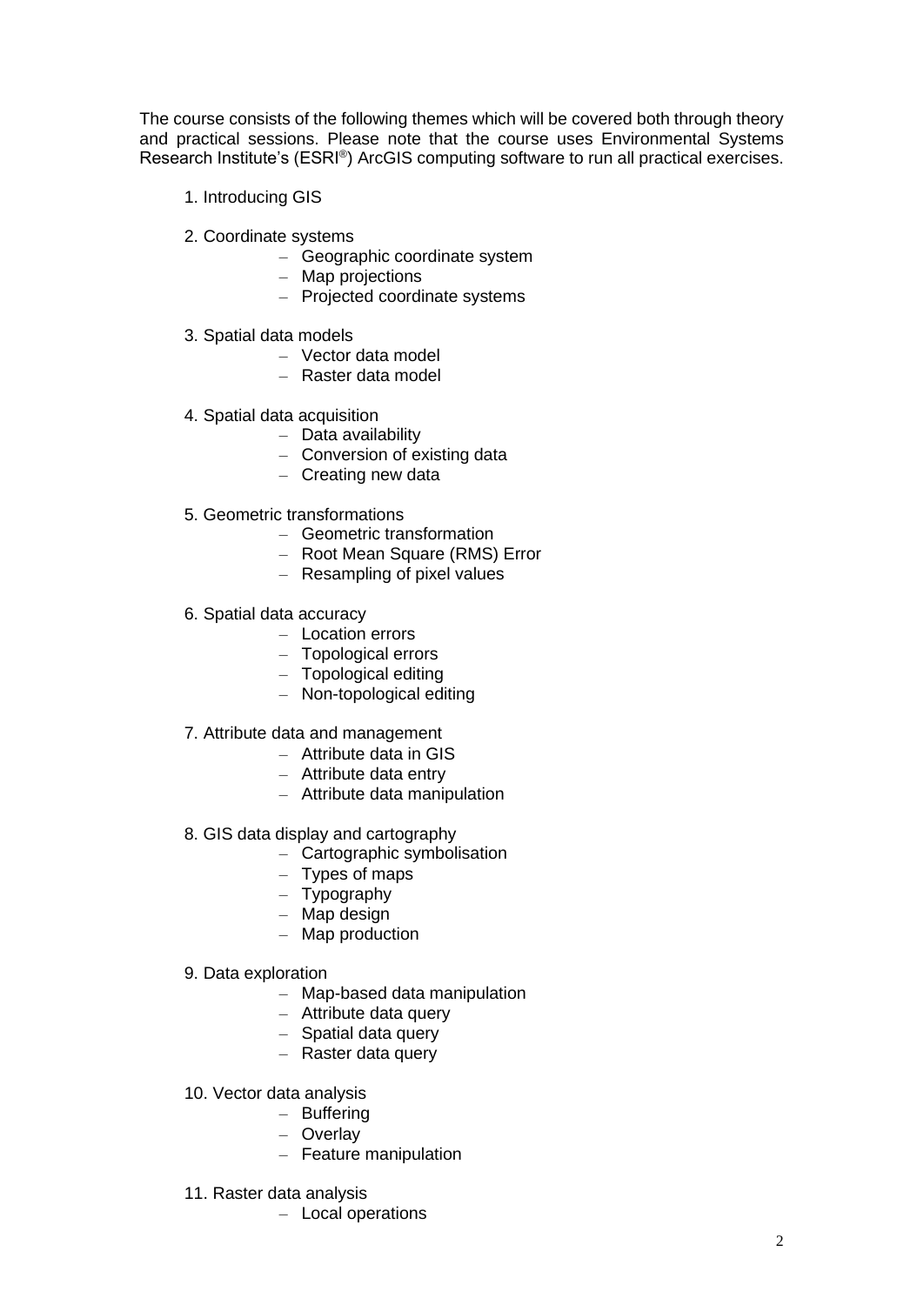The course consists of the following themes which will be covered both through theory and practical sessions. Please note that the course uses Environmental Systems Research Institute's (ESRI®) ArcGIS computing software to run all practical exercises.

- 1. Introducing GIS
- 2. Coordinate systems
	- Geographic coordinate system
	- Map projections
	- Projected coordinate systems
- 3. Spatial data models
	- Vector data model
	- Raster data model
- 4. Spatial data acquisition
	- Data availability
	- Conversion of existing data
	- Creating new data
- 5. Geometric transformations
	- Geometric transformation
	- Root Mean Square (RMS) Error
	- Resampling of pixel values
- 6. Spatial data accuracy
	- Location errors
	- Topological errors
	- Topological editing
	- Non-topological editing
- 7. Attribute data and management
	- Attribute data in GIS
	- Attribute data entry
	- Attribute data manipulation
- 8. GIS data display and cartography
	- Cartographic symbolisation
	- Types of maps
	- Typography
	- Map design
	- Map production
- 9. Data exploration
	- Map-based data manipulation
	- Attribute data query
	- Spatial data query
	- Raster data query
- 10. Vector data analysis
	- Buffering
	- Overlay
	- Feature manipulation
- 11. Raster data analysis
	- Local operations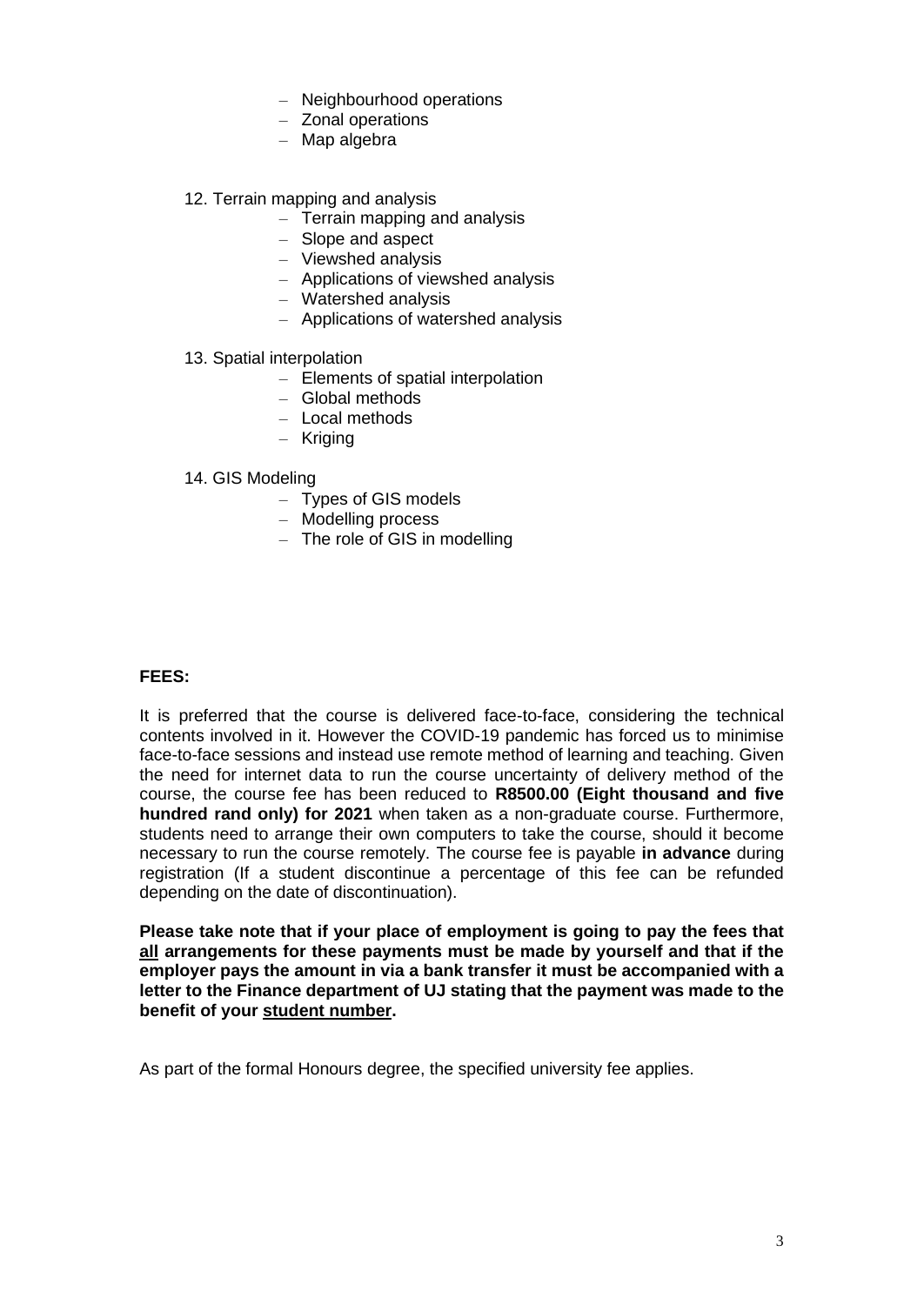- Neighbourhood operations
- Zonal operations
- Map algebra
- 12. Terrain mapping and analysis
	- Terrain mapping and analysis
	- Slope and aspect
	- Viewshed analysis
	- Applications of viewshed analysis
	- Watershed analysis
	- Applications of watershed analysis
- 13. Spatial interpolation
	- Elements of spatial interpolation
	- Global methods
	- Local methods
	- Kriging

#### 14. GIS Modeling

- Types of GIS models
- Modelling process
- The role of GIS in modelling

#### **FEES:**

It is preferred that the course is delivered face-to-face, considering the technical contents involved in it. However the COVID-19 pandemic has forced us to minimise face-to-face sessions and instead use remote method of learning and teaching. Given the need for internet data to run the course uncertainty of delivery method of the course, the course fee has been reduced to **R8500.00 (Eight thousand and five hundred rand only) for 2021** when taken as a non-graduate course. Furthermore, students need to arrange their own computers to take the course, should it become necessary to run the course remotely. The course fee is payable **in advance** during registration (If a student discontinue a percentage of this fee can be refunded depending on the date of discontinuation).

**Please take note that if your place of employment is going to pay the fees that all arrangements for these payments must be made by yourself and that if the employer pays the amount in via a bank transfer it must be accompanied with a letter to the Finance department of UJ stating that the payment was made to the benefit of your student number.**

As part of the formal Honours degree, the specified university fee applies.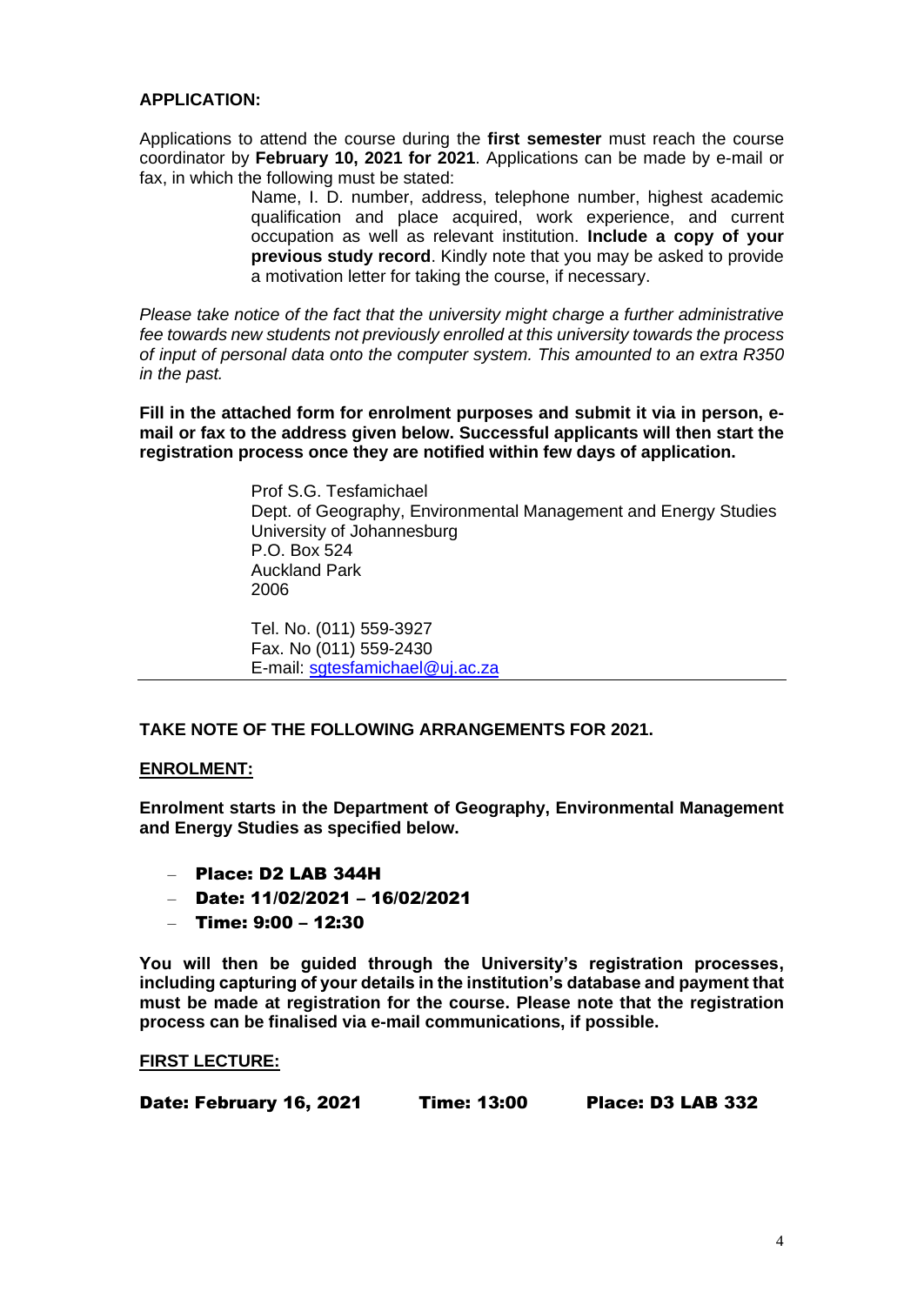#### **APPLICATION:**

Applications to attend the course during the **first semester** must reach the course coordinator by **February 10, 2021 for 2021**. Applications can be made by e-mail or fax, in which the following must be stated:

> Name, I. D. number, address, telephone number, highest academic qualification and place acquired, work experience, and current occupation as well as relevant institution. **Include a copy of your previous study record**. Kindly note that you may be asked to provide a motivation letter for taking the course, if necessary.

*Please take notice of the fact that the university might charge a further administrative fee towards new students not previously enrolled at this university towards the process of input of personal data onto the computer system. This amounted to an extra R350 in the past.*

**Fill in the attached form for enrolment purposes and submit it via in person, email or fax to the address given below. Successful applicants will then start the registration process once they are notified within few days of application.**

> Prof S.G. Tesfamichael Dept. of Geography, Environmental Management and Energy Studies University of Johannesburg P.O. Box 524 Auckland Park 2006

Tel. No. (011) 559-3927 Fax. No (011) 559-2430 E-mail: [sgtesfamichael@uj.ac.za](mailto:sgtesfamichael@uj.ac.za)

#### **TAKE NOTE OF THE FOLLOWING ARRANGEMENTS FOR 2021.**

#### **ENROLMENT:**

**Enrolment starts in the Department of Geography, Environmental Management and Energy Studies as specified below.**

- Place: D2 LAB 344H
- Date: 11/02/2021 16/02/2021
- Time: 9:00 12:30

**You will then be guided through the University's registration processes, including capturing of your details in the institution's database and payment that must be made at registration for the course. Please note that the registration process can be finalised via e-mail communications, if possible.**

#### **FIRST LECTURE:**

Date: February 16, 2021 Time: 13:00 Place: D3 LAB 332